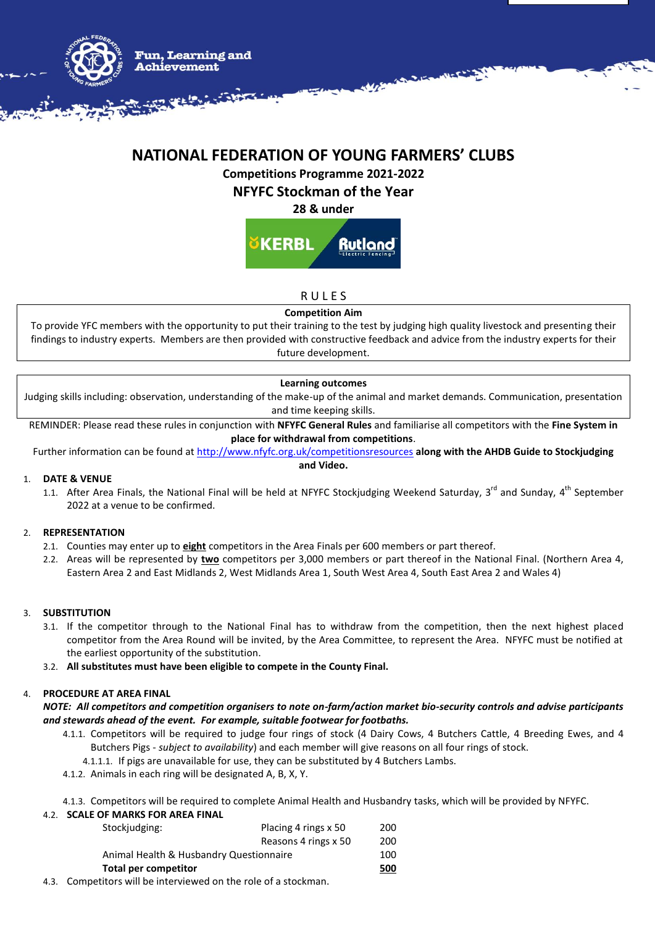

# **NATIONAL FEDERATION OF YOUNG FARMERS' CLUBS**

**Competitions Programme 2021-2022**

**NFYFC Stockman of the Year**

**28 & under**

KERRL Rutlanc

**RULES** 

# **Competition Aim**

To provide YFC members with the opportunity to put their training to the test by judging high quality livestock and presenting their findings to industry experts. Members are then provided with constructive feedback and advice from the industry experts for their future development.

# **Learning outcomes**

Judging skills including: observation, understanding of the make-up of the animal and market demands. Communication, presentation and time keeping skills.

REMINDER: Please read these rules in conjunction with **NFYFC General Rules** and familiarise all competitors with the **Fine System in place for withdrawal from competitions**.

Further information can be found at<http://www.nfyfc.org.uk/competitionsresources> **along with the AHDB Guide to Stockjudging and Video.**

# 1. **DATE & VENUE**

1.1. After Area Finals, the National Final will be held at NFYFC Stockjudging Weekend Saturday, 3<sup>rd</sup> and Sunday, 4<sup>th</sup> September 2022 at a venue to be confirmed.

# 2. **REPRESENTATION**

- 2.1. Counties may enter up to **eight** competitors in the Area Finals per 600 members or part thereof.
- 2.2. Areas will be represented by **two** competitors per 3,000 members or part thereof in the National Final. (Northern Area 4, Eastern Area 2 and East Midlands 2, West Midlands Area 1, South West Area 4, South East Area 2 and Wales 4)

# 3. **SUBSTITUTION**

- 3.1. If the competitor through to the National Final has to withdraw from the competition, then the next highest placed competitor from the Area Round will be invited, by the Area Committee, to represent the Area. NFYFC must be notified at the earliest opportunity of the substitution.
- 3.2. **All substitutes must have been eligible to compete in the County Final.**

# 4. **PROCEDURE AT AREA FINAL**

*NOTE: All competitors and competition organisers to note on-farm/action market bio-security controls and advise participants and stewards ahead of the event. For example, suitable footwear for footbaths.*

- 4.1.1. Competitors will be required to judge four rings of stock (4 Dairy Cows, 4 Butchers Cattle, 4 Breeding Ewes, and 4 Butchers Pigs - *subject to availability*) and each member will give reasons on all four rings of stock.
	- 4.1.1.1. If pigs are unavailable for use, they can be substituted by 4 Butchers Lambs.
- 4.1.2. Animals in each ring will be designated A, B, X, Y.

4.1.3. Competitors will be required to complete Animal Health and Husbandry tasks, which will be provided by NFYFC.

### 4.2. **SCALE OF MARKS FOR AREA FINAL**

| <b>Total per competitor</b>             |                      | 500 |
|-----------------------------------------|----------------------|-----|
| Animal Health & Husbandry Questionnaire |                      | 100 |
|                                         | Reasons 4 rings x 50 | 200 |
| Stockjudging:                           | Placing 4 rings x 50 | 200 |
|                                         |                      |     |
|                                         |                      |     |

4.3. Competitors will be interviewed on the role of a stockman.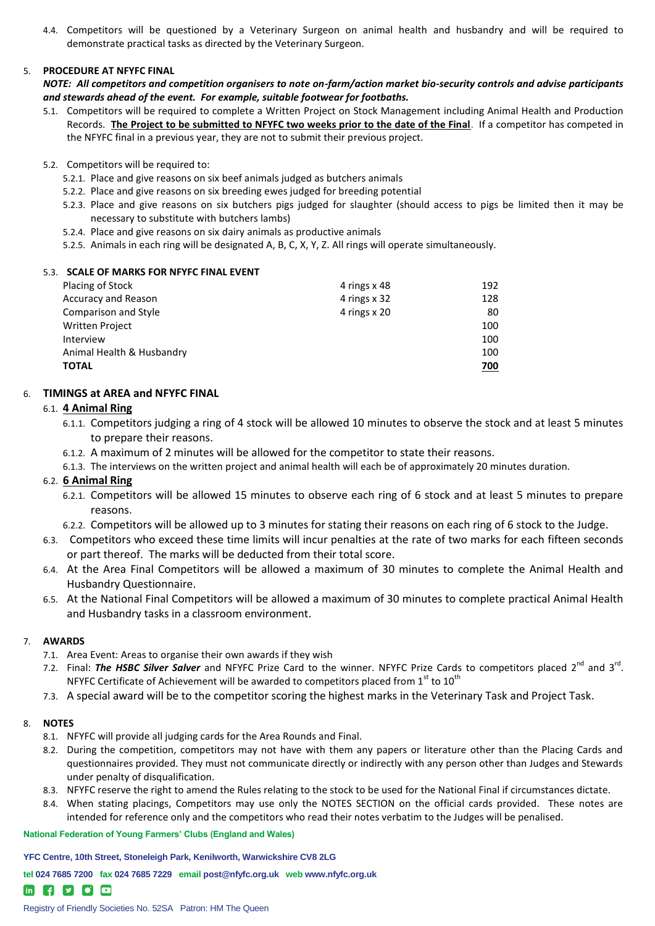4.4. Competitors will be questioned by a Veterinary Surgeon on animal health and husbandry and will be required to demonstrate practical tasks as directed by the Veterinary Surgeon.

### 5. **PROCEDURE AT NFYFC FINAL**

*NOTE: All competitors and competition organisers to note on-farm/action market bio-security controls and advise participants and stewards ahead of the event. For example, suitable footwear for footbaths.*

- 5.1. Competitors will be required to complete a Written Project on Stock Management including Animal Health and Production Records. **The Project to be submitted to NFYFC two weeks prior to the date of the Final**. If a competitor has competed in the NFYFC final in a previous year, they are not to submit their previous project.
- 5.2. Competitors will be required to:
	- 5.2.1. Place and give reasons on six beef animals judged as butchers animals
	- 5.2.2. Place and give reasons on six breeding ewes judged for breeding potential
	- 5.2.3. Place and give reasons on six butchers pigs judged for slaughter (should access to pigs be limited then it may be necessary to substitute with butchers lambs)
	- 5.2.4. Place and give reasons on six dairy animals as productive animals
	- 5.2.5. Animals in each ring will be designated A, B, C, X, Y, Z. All rings will operate simultaneously.

#### 5.3. **SCALE OF MARKS FOR NFYFC FINAL EVENT**

| Placing of Stock           | 4 rings x 48 | 192 |
|----------------------------|--------------|-----|
| <b>Accuracy and Reason</b> | 4 rings x 32 | 128 |
| Comparison and Style       | 4 rings x 20 | 80  |
| <b>Written Project</b>     |              | 100 |
| Interview                  |              | 100 |
| Animal Health & Husbandry  |              | 100 |
| <b>TOTAL</b>               |              | 700 |

### 6. **TIMINGS at AREA and NFYFC FINAL**

### 6.1. **4 Animal Ring**

- 6.1.1. Competitors judging a ring of 4 stock will be allowed 10 minutes to observe the stock and at least 5 minutes to prepare their reasons.
- 6.1.2. A maximum of 2 minutes will be allowed for the competitor to state their reasons.
- 6.1.3. The interviews on the written project and animal health will each be of approximately 20 minutes duration.

### 6.2. **6 Animal Ring**

- 6.2.1. Competitors will be allowed 15 minutes to observe each ring of 6 stock and at least 5 minutes to prepare reasons.
- 6.2.2. Competitors will be allowed up to 3 minutes for stating their reasons on each ring of 6 stock to the Judge.
- 6.3. Competitors who exceed these time limits will incur penalties at the rate of two marks for each fifteen seconds or part thereof. The marks will be deducted from their total score.
- 6.4. At the Area Final Competitors will be allowed a maximum of 30 minutes to complete the Animal Health and Husbandry Questionnaire.
- 6.5. At the National Final Competitors will be allowed a maximum of 30 minutes to complete practical Animal Health and Husbandry tasks in a classroom environment.

### 7. **AWARDS**

- 7.1. Area Event: Areas to organise their own awards if they wish
- 7.2. Final: The HSBC Silver Salver and NFYFC Prize Card to the winner. NFYFC Prize Cards to competitors placed 2<sup>nd</sup> and 3<sup>rd</sup>. NFYFC Certificate of Achievement will be awarded to competitors placed from  $1<sup>st</sup>$  to  $10<sup>th</sup>$
- 7.3. A special award will be to the competitor scoring the highest marks in the Veterinary Task and Project Task.

#### 8. **NOTES**

- 8.1. NFYFC will provide all judging cards for the Area Rounds and Final.
- 8.2. During the competition, competitors may not have with them any papers or literature other than the Placing Cards and questionnaires provided. They must not communicate directly or indirectly with any person other than Judges and Stewards under penalty of disqualification.
- 8.3. NFYFC reserve the right to amend the Rules relating to the stock to be used for the National Final if circumstances dictate.
- 8.4. When stating placings, Competitors may use only the NOTES SECTION on the official cards provided. These notes are intended for reference only and the competitors who read their notes verbatim to the Judges will be penalised.

#### **National Federation of Young Farmers' Clubs (England and Wales)**

**YFC Centre, 10th Street, Stoneleigh Park, Kenilworth, Warwickshire CV8 2LG**

**tel 024 7685 7200 fax 024 7685 7229 email post@nfyfc.org.uk web www.nfyfc.org.uk** 

# **in f y c p**